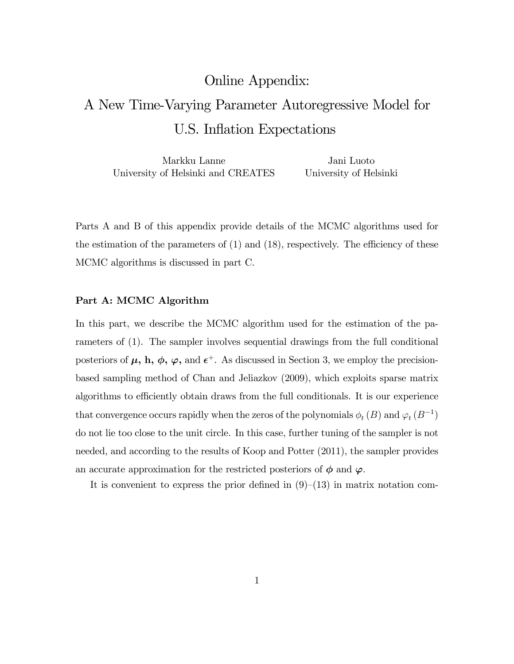# Online Appendix: A New Time-Varying Parameter Autoregressive Model for U.S. Inflation Expectations

Markku Lanne Jani Luoto University of Helsinki and CREATES University of Helsinki

Parts A and B of this appendix provide details of the MCMC algorithms used for the estimation of the parameters of  $(1)$  and  $(18)$ , respectively. The efficiency of these MCMC algorithms is discussed in part C.

#### Part A: MCMC Algorithm

In this part, we describe the MCMC algorithm used for the estimation of the parameters of (1). The sampler involves sequential drawings from the full conditional posteriors of  $\mu$ , h,  $\phi$ ,  $\varphi$ , and  $\epsilon^+$ . As discussed in Section 3, we employ the precisionbased sampling method of Chan and Jeliazkov (2009), which exploits sparse matrix algorithms to efficiently obtain draws from the full conditionals. It is our experience that convergence occurs rapidly when the zeros of the polynomials  $\phi_t(B)$  and  $\varphi_t(B^{-1})$ do not lie too close to the unit circle. In this case, further tuning of the sampler is not needed, and according to the results of Koop and Potter (2011), the sampler provides an accurate approximation for the restricted posteriors of  $\phi$  and  $\varphi$ .

It is convenient to express the prior defined in  $(9)$ – $(13)$  in matrix notation com-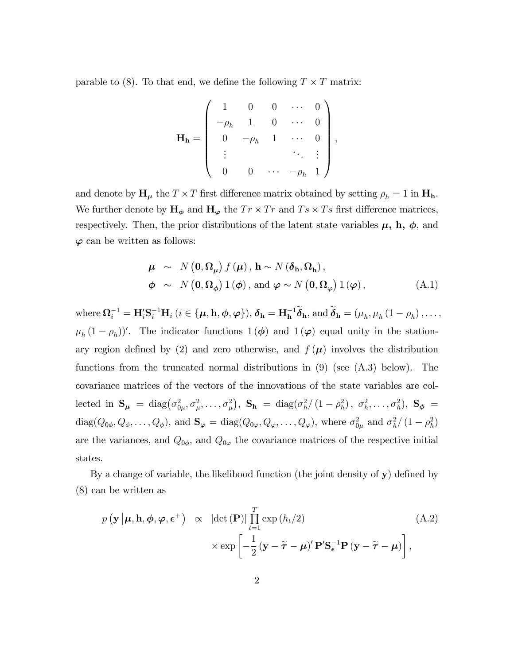parable to (8). To that end, we define the following  $T \times T$  matrix:

$$
\mathbf{H}_{\mathbf{h}} = \begin{pmatrix} 1 & 0 & 0 & \cdots & 0 \\ -\rho_h & 1 & 0 & \cdots & 0 \\ 0 & -\rho_h & 1 & \cdots & 0 \\ \vdots & & & \ddots & \vdots \\ 0 & 0 & \cdots & -\rho_h & 1 \end{pmatrix},
$$

and denote by  $H_{\mu}$  the  $T \times T$  first difference matrix obtained by setting  $\rho_h = 1$  in  $H_h$ . We further denote by  $H_{\phi}$  and  $H_{\varphi}$  the  $Tr \times Tr$  and  $Ts \times Ts$  first difference matrices, respectively. Then, the prior distributions of the latent state variables  $\mu$ , h,  $\phi$ , and  $\varphi$  can be written as follows:

$$
\begin{aligned}\n\boldsymbol{\mu} &\sim N\left(\mathbf{0}, \boldsymbol{\Omega}_{\boldsymbol{\mu}}\right) f\left(\boldsymbol{\mu}\right), \mathbf{h} \sim N\left(\boldsymbol{\delta}_{\mathbf{h}}, \boldsymbol{\Omega}_{\mathbf{h}}\right), \\
\boldsymbol{\phi} &\sim N\left(\mathbf{0}, \boldsymbol{\Omega}_{\phi}\right) 1\left(\boldsymbol{\phi}\right), \text{ and } \boldsymbol{\varphi} \sim N\left(\mathbf{0}, \boldsymbol{\Omega}_{\phi}\right) 1\left(\boldsymbol{\varphi}\right),\n\end{aligned} \tag{A.1}
$$

where  $\mathbf{\Omega}_i^{-1} = \mathbf{H}_i' \mathbf{S}_i^{-1} \mathbf{H}_i \ (i \in {\{\mu, \mathbf{h}, \boldsymbol{\phi}, \boldsymbol{\varphi}\}}, \boldsymbol{\delta}_{\mathbf{h}} = \mathbf{H}_{\mathbf{h}}^{-1} \widetilde{\boldsymbol{\delta}}_{\mathbf{h}}, \text{ and } \widetilde{\boldsymbol{\delta}}_{\mathbf{h}} = (\mu_h, \mu_h (1 - \rho_h), \dots,$  $\mu_h (1 - \rho_h)$ '. The indicator functions  $1(\phi)$  and  $1(\varphi)$  equal unity in the stationary region defined by (2) and zero otherwise, and  $f(\mu)$  involves the distribution functions from the truncated normal distributions in (9) (see (A.3) below). The covariance matrices of the vectors of the innovations of the state variables are collected in  $S_{\mu} = \text{diag}(\sigma_{0\mu}^2, \sigma_{\mu}^2, \dots, \sigma_{\mu}^2), S_{\mathbf{h}} = \text{diag}(\sigma_{h}^2/(1-\rho_{h}^2), \sigma_{h}^2, \dots, \sigma_{h}^2), S_{\phi} =$  $diag(Q_{0\phi}, Q_{\phi}, \ldots, Q_{\phi})$ , and  $\mathbf{S}_{\varphi} = diag(Q_{0\varphi}, Q_{\varphi}, \ldots, Q_{\varphi})$ , where  $\sigma_{0\mu}^2$  and  $\sigma_h^2/(1-\rho_h^2)$ are the variances, and  $Q_{0\phi}$ , and  $Q_{0\phi}$  the covariance matrices of the respective initial states.

By a change of variable, the likelihood function (the joint density of  $\mathbf{y}$ ) defined by (8) can be written as

$$
p(\mathbf{y}|\boldsymbol{\mu}, \mathbf{h}, \boldsymbol{\phi}, \boldsymbol{\varphi}, \boldsymbol{\epsilon}^+) \propto |\det(\mathbf{P})| \prod_{t=1}^T \exp(h_t/2)
$$
  
 
$$
\times \exp\left[ -\frac{1}{2} (\mathbf{y} - \tilde{\boldsymbol{\tau}} - \boldsymbol{\mu})' \mathbf{P}' \mathbf{S}_{\boldsymbol{\epsilon}}^{-1} \mathbf{P} (\mathbf{y} - \tilde{\boldsymbol{\tau}} - \boldsymbol{\mu}) \right],
$$
 (A.2)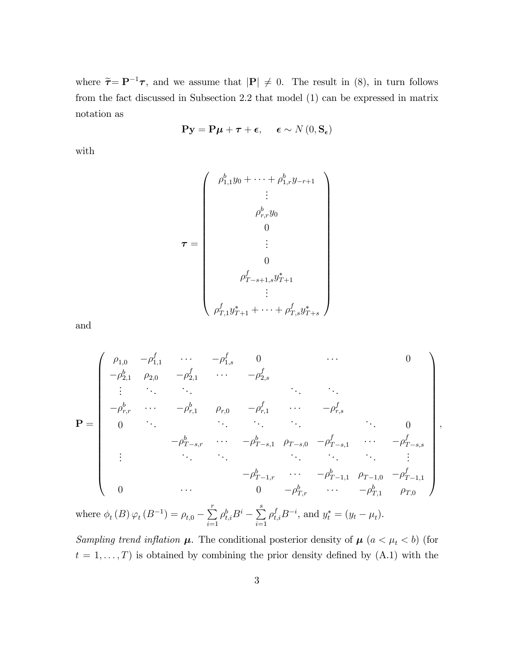where  $\tilde{\tau} = \mathbf{P}^{-1}\tau$ , and we assume that  $|\mathbf{P}| \neq 0$ . The result in (8), in turn follows from the fact discussed in Subsection 2.2 that model (1) can be expressed in matrix notation as

$$
\mathbf{P}\mathbf{y} = \mathbf{P}\boldsymbol{\mu} + \boldsymbol{\tau} + \boldsymbol{\epsilon}, \quad \boldsymbol{\epsilon} \sim N(0, \mathbf{S}_{\boldsymbol{\epsilon}})
$$

with

$$
\boldsymbol{\tau} = \begin{pmatrix}\n\rho_{1,1}^{b} y_{0} + \cdots + \rho_{1,r}^{b} y_{-r+1} \\
\vdots \\
\rho_{r,r}^{b} y_{0} \\
0 \\
\vdots \\
0 \\
\rho_{T-s+1,s}^{f} y_{T+1}^{*} \\
\vdots \\
\rho_{T,1}^{f} y_{T+1}^{*} + \cdots + \rho_{T,s}^{f} y_{T+s}^{*}\n\end{pmatrix}
$$

and

$$
\mathbf{P} = \begin{pmatrix}\n\rho_{1,0} & -\rho_{1,1}^f & \cdots & -\rho_{1,s}^f & 0 & \cdots & 0 \\
-\rho_{2,1}^b & \rho_{2,0} & -\rho_{2,1}^f & \cdots & -\rho_{2,s}^f & & & \\
\vdots & \ddots & \ddots & \ddots & \ddots & \ddots & \vdots \\
-\rho_{r,r}^b & \cdots & -\rho_{r,1}^b & \rho_{r,0} & -\rho_{r,1}^f & \cdots & -\rho_{r,s}^f & & \\
0 & \ddots & \ddots & \ddots & \ddots & 0 & \\
0 & \ddots & \ddots & \ddots & \ddots & \ddots & \vdots \\
\vdots & \ddots & \ddots & \ddots & \ddots & \ddots & \vdots \\
\vdots & \ddots & \ddots & \ddots & \ddots & \ddots & \vdots \\
-\rho_{T-1,r}^b & \cdots & -\rho_{T-1,1}^b & \rho_{T-1,0} & -\rho_{T-1,1}^f & \\
0 & \cdots & 0 & -\rho_{T,r}^b & \cdots & -\rho_{T,1}^b & \rho_{T,0}\n\end{pmatrix},
$$

where  $\phi_t(B) \varphi_t(B^{-1}) = \rho_{t,0} - \sum_{i=1}^r$  $i=1$  $\rho_{t,i}^b B^i - \sum_{i=1}^s$  $i=1$  $\rho_{t,i}^f B^{-i}$ , and  $y_t^* = (y_t - \mu_t)$ .

Sampling trend inflation  $\mu$ . The conditional posterior density of  $\mu$  ( $a < \mu_t < b$ ) (for  $t = 1, \ldots, T$  is obtained by combining the prior density defined by (A.1) with the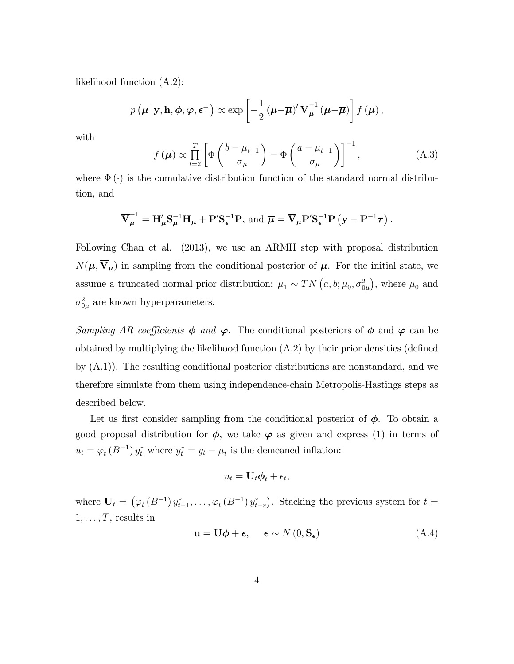likelihood function (A.2):

$$
p(\boldsymbol{\mu}|\mathbf{y}, \mathbf{h}, \boldsymbol{\phi}, \boldsymbol{\varphi}, \boldsymbol{\epsilon}^+) \propto \exp\left[-\frac{1}{2}(\boldsymbol{\mu} - \overline{\boldsymbol{\mu}})' \overline{\mathbf{V}}_{\boldsymbol{\mu}}^{-1}(\boldsymbol{\mu} - \overline{\boldsymbol{\mu}})\right] f(\boldsymbol{\mu}),
$$

with

$$
f(\boldsymbol{\mu}) \propto \prod_{t=2}^{T} \left[ \Phi\left(\frac{b - \mu_{t-1}}{\sigma_{\mu}}\right) - \Phi\left(\frac{a - \mu_{t-1}}{\sigma_{\mu}}\right) \right]^{-1}, \tag{A.3}
$$

where  $\Phi(\cdot)$  is the cumulative distribution function of the standard normal distribution, and

$$
\overline{\mathbf{V}}_{\mu}^{-1} = \mathbf{H}'_{\mu} \mathbf{S}_{\mu}^{-1} \mathbf{H}_{\mu} + \mathbf{P}' \mathbf{S}_{\epsilon}^{-1} \mathbf{P}, \text{ and } \overline{\mu} = \overline{\mathbf{V}}_{\mu} \mathbf{P}' \mathbf{S}_{\epsilon}^{-1} \mathbf{P} (\mathbf{y} - \mathbf{P}^{-1} \boldsymbol{\tau}) .
$$

Following Chan et al. (2013), we use an ARMH step with proposal distribution  $N(\overline{\mu}, \overline{\mathbf{V}}_{\mu})$  in sampling from the conditional posterior of  $\mu$ . For the initial state, we assume a truncated normal prior distribution:  $\mu_1 \sim TN\left(a, b; \mu_0, \sigma_{0\mu}^2\right)$ , where  $\mu_0$  and  $\sigma_{0\mu}^2$  are known hyperparameters.

Sampling AR coefficients  $\phi$  and  $\varphi$ . The conditional posteriors of  $\phi$  and  $\varphi$  can be obtained by multiplying the likelihood function  $(A.2)$  by their prior densities (defined by (A.1)). The resulting conditional posterior distributions are nonstandard, and we therefore simulate from them using independence-chain Metropolis-Hastings steps as described below.

Let us first consider sampling from the conditional posterior of  $\phi$ . To obtain a good proposal distribution for  $\phi$ , we take  $\varphi$  as given and express (1) in terms of  $u_t = \varphi_t (B^{-1}) y_t^*$  where  $y_t^* = y_t - \mu_t$  is the demeaned inflation:

$$
u_t = \mathbf{U}_t \boldsymbol{\phi}_t + \epsilon_t,
$$

where  $\mathbf{U}_t = (\varphi_t(B^{-1}) y_{t-1}^*, \dots, \varphi_t(B^{-1}) y_{t-r}^*)$ . Stacking the previous system for  $t =$  $1, \ldots, T$ , results in

$$
\mathbf{u} = \mathbf{U}\boldsymbol{\phi} + \boldsymbol{\epsilon}, \quad \boldsymbol{\epsilon} \sim N(0, \mathbf{S}_{\boldsymbol{\epsilon}}) \tag{A.4}
$$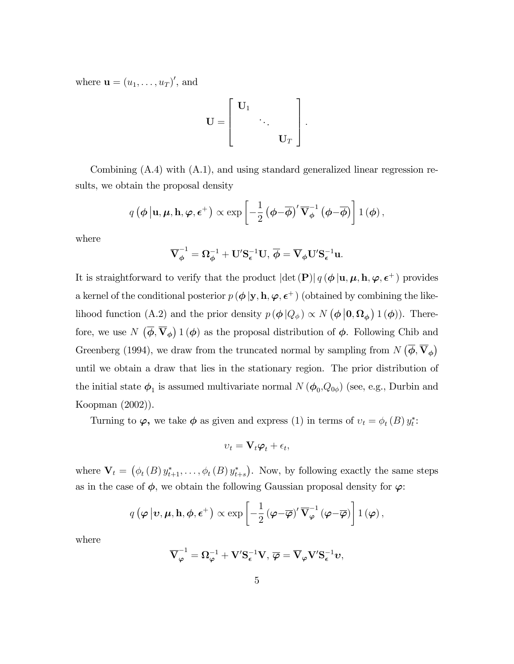where  $\mathbf{u} = (u_1, \dots, u_T)$ , and

$$
\mathbf{U} = \left[ \begin{array}{ccc} \mathbf{U}_1 & & \\ & \ddots & \\ & & \mathbf{U}_T \end{array} \right].
$$

Combining (A.4) with (A.1), and using standard generalized linear regression results, we obtain the proposal density

$$
q(\phi | \mathbf{u}, \boldsymbol{\mu}, \mathbf{h}, \varphi, \boldsymbol{\epsilon}^+) \propto \exp \left[ -\frac{1}{2} (\phi - \overline{\phi})' \overline{\mathbf{V}}_{\phi}^{-1} (\phi - \overline{\phi}) \right] 1 (\phi),
$$

where

$$
\overline{\mathbf{V}}_{\phi}^{-1} = \mathbf{\Omega}_{\phi}^{-1} + \mathbf{U}'\mathbf{S}_{\epsilon}^{-1}\mathbf{U}, \overline{\phi} = \overline{\mathbf{V}}_{\phi}\mathbf{U}'\mathbf{S}_{\epsilon}^{-1}\mathbf{u}.
$$

It is straightforward to verify that the product  $|\text{det}(\mathbf{P})| q (\phi | \mathbf{u}, \boldsymbol{\mu}, \mathbf{h}, \varphi, \boldsymbol{\epsilon}^+)$  provides a kernel of the conditional posterior  $p(\phi | y, h, \varphi, \epsilon^+)$  (obtained by combining the likelihood function (A.2) and the prior density  $p(\phi | Q_{\phi}) \propto N(\phi | \mathbf{0}, \Omega_{\phi}) 1(\phi)$ . Therefore, we use  $N(\bar{\phi}, \bar{\nabla}_{\phi}) 1(\phi)$  as the proposal distribution of  $\phi$ . Following Chib and Greenberg (1994), we draw from the truncated normal by sampling from  $N(\overline{\phi}, \overline{\mathbf{V}}_{\phi})$ until we obtain a draw that lies in the stationary region. The prior distribution of the initial state  $\phi_1$  is assumed multivariate normal  $N(\phi_0, Q_{0\phi})$  (see, e.g., Durbin and Koopman (2002)).

Turning to  $\varphi$ , we take  $\phi$  as given and express (1) in terms of  $v_t = \phi_t(B) y_t^*$ :

$$
v_t = \mathbf{V}_t \boldsymbol{\varphi}_t + \epsilon_t,
$$

where  $\mathbf{V}_t = (\phi_t(B) y_{t+1}^*, \dots, \phi_t(B) y_{t+s}^*)$ . Now, by following exactly the same steps as in the case of  $\phi$ , we obtain the following Gaussian proposal density for  $\varphi$ :

$$
q(\varphi|\mathbf{v}, \boldsymbol{\mu}, \mathbf{h}, \boldsymbol{\phi}, \boldsymbol{\epsilon}^{\dagger}) \propto \exp\left[-\frac{1}{2}(\varphi - \overline{\varphi})'\overline{\mathbf{V}}_{\varphi}^{-1}(\varphi - \overline{\varphi})\right]1(\varphi),
$$

where

$$
\overline{\mathbf{V}}^{-1}_{\boldsymbol\varphi} = \boldsymbol\Omega_{\boldsymbol\varphi}^{-1} + \mathbf{V}'\mathbf{S}_{\boldsymbol\epsilon}^{-1}\mathbf{V}, \, \overline{\boldsymbol\varphi} = \overline{\mathbf{V}}_{\boldsymbol\varphi}\mathbf{V}'\mathbf{S}_{\boldsymbol\epsilon}^{-1}\boldsymbol\upsilon,
$$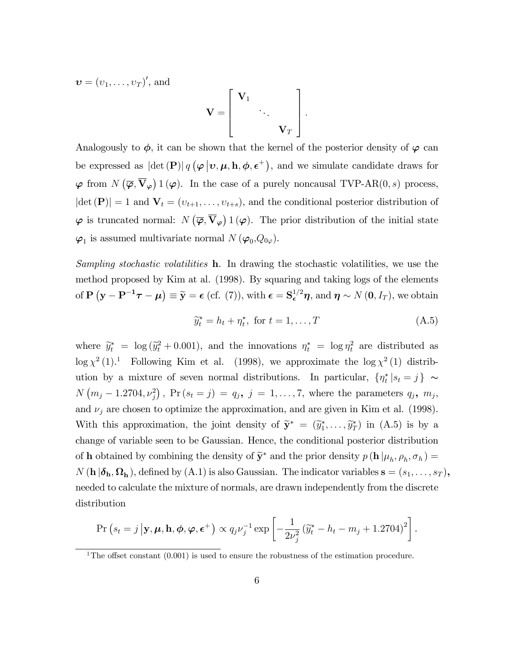$\boldsymbol{v} = (v_1, \dots, v_T)',$  and

$$
\mathbf{V} = \left[ \begin{array}{ccc} \mathbf{V}_1 & & \\ & \ddots & \\ & & \mathbf{V}_T \end{array} \right].
$$

Analogously to  $\phi$ , it can be shown that the kernel of the posterior density of  $\varphi$  can be expressed as  $|\det(\mathbf{P})| q (\varphi | \boldsymbol{v}, \boldsymbol{\mu}, \mathbf{h}, \boldsymbol{\phi}, \boldsymbol{\epsilon}^+)$ , and we simulate candidate draws for  $\varphi$  from  $N(\overline{\varphi}, \overline{\mathbf{V}}_{\varphi})$  1( $\varphi$ ). In the case of a purely noncausal TVP-AR(0, s) process,  $|\det(\mathbf{P})|=1$  and  $\mathbf{V}_t=(v_{t+1},\ldots,v_{t+s})$ , and the conditional posterior distribution of  $\varphi$  is truncated normal:  $N(\overline{\varphi}, \overline{\mathbf{V}}_{\varphi})$  1( $\varphi$ ). The prior distribution of the initial state  $\varphi_1$  is assumed multivariate normal  $N(\varphi_0,Q_{0\varphi})$ .

Sampling stochastic volatilities **h**. In drawing the stochastic volatilities, we use the method proposed by Kim at al. (1998). By squaring and taking logs of the elements of  $\mathbf{P}(\mathbf{y}-\mathbf{P}^{-1}\boldsymbol{\tau}-\boldsymbol{\mu})\equiv \widetilde{\mathbf{y}}=\boldsymbol{\epsilon}$  (cf. (7)), with  $\boldsymbol{\epsilon}=\mathbf{S}_{\boldsymbol{\epsilon}}^{1/2}\boldsymbol{\eta}$ , and  $\boldsymbol{\eta}\sim N(\mathbf{0},I_T)$ , we obtain

$$
\widetilde{y}_t^* = h_t + \eta_t^*, \text{ for } t = 1, \dots, T
$$
\n(A.5)

where  $\tilde{y}_t^* = \log(\tilde{y}_t^2 + 0.001)$ , and the innovations  $\eta_t^* = \log \eta_t^2$  are distributed as  $\log \chi^2(1)$ .<sup>1</sup> Following Kim et al. (1998), we approximate the  $\log \chi^2(1)$  distribution by a mixture of seven normal distributions. In particular,  $\{\eta_t^* | s_t = j\} \sim$  $N(m_j - 1.2704, \nu_j^2), \Pr(s_t = j) = q_j, \ j = 1, ..., 7,$  where the parameters  $q_j, m_j,$ and  $\nu_j$  are chosen to optimize the approximation, and are given in Kim et al. (1998). With this approximation, the joint density of  $\tilde{\mathbf{y}}^* = (\tilde{y}_1^*, \dots, \tilde{y}_T^*)$  in  $(A.5)$  is by a change of variable seen to be Gaussian. Hence, the conditional posterior distribution of **h** obtained by combining the density of  $\tilde{\mathbf{y}}^*$  and the prior density  $p(\mathbf{h} | \mu_h, \rho_h, \sigma_h) =$  $N(\mathbf{h}|\boldsymbol{\delta}_{\mathbf{h}},\boldsymbol{\Omega}_{\mathbf{h}})$ , defined by  $(A.1)$  is also Gaussian. The indicator variables  $\mathbf{s}=(s_1,\ldots,s_T)$ , needed to calculate the mixture of normals, are drawn independently from the discrete distribution

$$
\Pr\left(s_t = j \left|\mathbf{y}, \boldsymbol{\mu}, \mathbf{h}, \boldsymbol{\phi}, \boldsymbol{\varphi}, \boldsymbol{\epsilon}^+\right.\right) \propto q_j \nu_j^{-1} \exp\left[-\frac{1}{2\nu_j^2} \left(\widetilde{y}_t^* - h_t - m_j + 1.2704\right)^2\right].
$$

<sup>&</sup>lt;sup>1</sup>The offset constant  $(0.001)$  is used to ensure the robustness of the estimation procedure.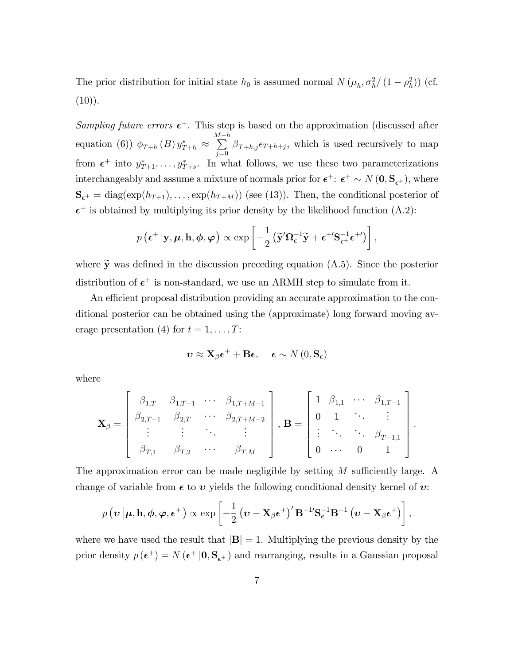The prior distribution for initial state  $h_0$  is assumed normal  $N(\mu_h, \sigma_h^2/(1-\rho_h^2))$  (cf.  $(10)$ .

Sampling future errors  $\epsilon^+$ . This step is based on the approximation (discussed after equation (6))  $\phi_{T+h}(B) y^*_{T+h} \approx$  $\sum_{n=1}^{M-n}$  $\sum_{j=0} \beta_{T+h,j} \epsilon_{T+h+j}$ , which is used recursively to map from  $\epsilon^+$  into  $y^*_{T+1}, \ldots, y^*_{T+s}$ . In what follows, we use these two parameterizations interchangeably and assume a mixture of normals prior for  $\epsilon^+$ :  $\epsilon^+ \sim N(0, S_{\epsilon^+})$ , where  $S_{\epsilon^+} = \text{diag}(\exp(h_{T+1}), \ldots, \exp(h_{T+M}))$  (see (13)). Then, the conditional posterior of  $\epsilon^+$  is obtained by multiplying its prior density by the likelihood function (A.2):

$$
p\left(\boldsymbol{\epsilon}^{+}|\mathbf{y},\boldsymbol{\mu},\mathbf{h},\boldsymbol{\phi},\boldsymbol{\varphi}\right) \propto \exp\left[-\frac{1}{2}\left(\widetilde{\mathbf{y}}'\boldsymbol{\Omega}_{\boldsymbol{\epsilon}}^{-1}\widetilde{\mathbf{y}}+\boldsymbol{\epsilon}^{+'}\mathbf{S}_{\boldsymbol{\epsilon}^{+}}^{-1}\boldsymbol{\epsilon}^{+'}\right)\right],
$$

where  $\tilde{y}$  was defined in the discussion preceding equation (A.5). Since the posterior distribution of  $\epsilon^+$  is non-standard, we use an ARMH step to simulate from it.

An efficient proposal distribution providing an accurate approximation to the conditional posterior can be obtained using the (approximate) long forward moving average presentation (4) for  $t = 1, \ldots, T$ :

$$
\boldsymbol{v} \approx \mathbf{X}_{\beta} \boldsymbol{\epsilon}^+ + \mathbf{B} \boldsymbol{\epsilon}, \quad \boldsymbol{\epsilon} \sim N\left(0, \mathbf{S}_{\boldsymbol{\epsilon}}\right)
$$

where

$$
\mathbf{X}_{\beta} = \begin{bmatrix} \beta_{1,T} & \beta_{1,T+1} & \cdots & \beta_{1,T+M-1} \\ \beta_{2,T-1} & \beta_{2,T} & \cdots & \beta_{2,T+M-2} \\ \vdots & \vdots & \ddots & \vdots \\ \beta_{T,1} & \beta_{T,2} & \cdots & \beta_{T,M} \end{bmatrix}, \mathbf{B} = \begin{bmatrix} 1 & \beta_{1,1} & \cdots & \beta_{1,T-1} \\ 0 & 1 & \ddots & \vdots \\ \vdots & \ddots & \ddots & \beta_{T-1,1} \\ 0 & \cdots & 0 & 1 \end{bmatrix}.
$$

The approximation error can be made negligible by setting  $M$  sufficiently large. A change of variable from  $\epsilon$  to  $\upsilon$  yields the following conditional density kernel of  $\upsilon$ :

$$
p\left(\boldsymbol{v} \left| \boldsymbol{\mu}, \mathbf{h}, \boldsymbol{\phi}, \boldsymbol{\varphi}, \boldsymbol{\epsilon}^+\right.\right) \propto \exp\left[-\frac{1}{2}\left(\boldsymbol{v}-\mathbf{X}_\beta \boldsymbol{\epsilon}^+\right)' \mathbf{B}^{-1'} \mathbf{S}_{\boldsymbol{\epsilon}}^{-1} \mathbf{B}^{-1}\left(\boldsymbol{v}-\mathbf{X}_\beta \boldsymbol{\epsilon}^+\right)\right],
$$

where we have used the result that  $|\mathbf{B}| = 1$ . Multiplying the previous density by the prior density  $p(\epsilon^+) = N(\epsilon^+ | 0, \mathbf{S}_{\epsilon^+})$  and rearranging, results in a Gaussian proposal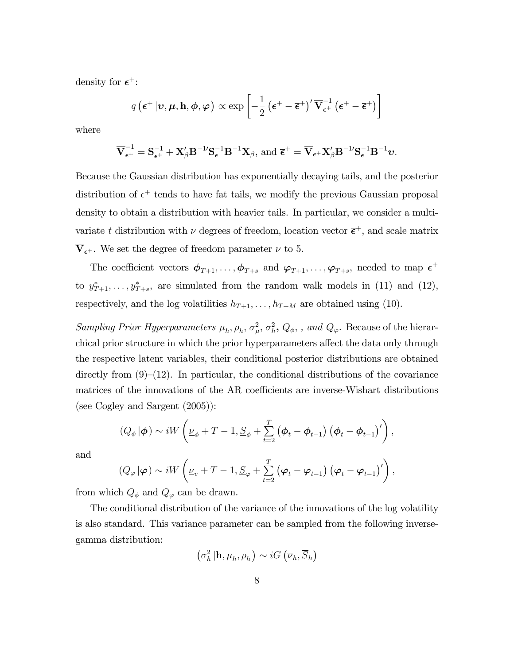density for  $\epsilon^+$ :

$$
q\left(\boldsymbol{\epsilon}^{+}|\boldsymbol{v},\boldsymbol{\mu},\mathbf{h},\boldsymbol{\phi},\boldsymbol{\varphi}\right) \propto \exp\left[-\frac{1}{2}\left(\boldsymbol{\epsilon}^{+}-\overline{\boldsymbol{\epsilon}}^{+}\right)^{\prime}\overline{\mathbf{V}}_{\boldsymbol{\epsilon}^{+}}^{-1}\left(\boldsymbol{\epsilon}^{+}-\overline{\boldsymbol{\epsilon}}^{+}\right)\right]
$$

where

$$
\overline{\mathbf{V}}_{\epsilon^+}^{-1} = \mathbf{S}_{\epsilon^+}^{-1} + \mathbf{X}_{\beta}' \mathbf{B}^{-1} \mathbf{S}_{\epsilon}^{-1} \mathbf{B}^{-1} \mathbf{X}_{\beta}, \text{ and } \overline{\epsilon}^+ = \overline{\mathbf{V}}_{\epsilon^+} \mathbf{X}_{\beta}' \mathbf{B}^{-1} \mathbf{S}_{\epsilon}^{-1} \mathbf{B}^{-1} \mathbf{v}.
$$

Because the Gaussian distribution has exponentially decaying tails, and the posterior distribution of  $\epsilon^+$  tends to have fat tails, we modify the previous Gaussian proposal density to obtain a distribution with heavier tails. In particular, we consider a multivariate t distribution with  $\nu$  degrees of freedom, location vector  $\bar{\epsilon}^+$ , and scale matrix  $\overline{V}_{\epsilon^+}$ . We set the degree of freedom parameter  $\nu$  to 5.

The coefficient vectors  $\phi_{T+1}, \ldots, \phi_{T+s}$  and  $\varphi_{T+1}, \ldots, \varphi_{T+s}$ , needed to map  $\epsilon^+$ to  $y_{T+1}^*, \ldots, y_{T+s}^*$ , are simulated from the random walk models in (11) and (12), respectively, and the log volatilities  $h_{T+1}, \ldots, h_{T+M}$  are obtained using (10).

Sampling Prior Hyperparameters  $\mu_h$ ,  $\rho_h$ ,  $\sigma_\mu^2$ ,  $\sigma_h^2$ ,  $Q_\phi$ , and  $Q_\varphi$ . Because of the hierarchical prior structure in which the prior hyperparameters affect the data only through the respective latent variables, their conditional posterior distributions are obtained directly from  $(9)$ – $(12)$ . In particular, the conditional distributions of the covariance matrices of the innovations of the AR coefficients are inverse-Wishart distributions (see Cogley and Sargent (2005)):

$$
(Q_{\phi}|\phi) \sim iW\left(\underline{\nu}_{\phi} + T - 1, \underline{S}_{\phi} + \sum_{t=2}^{T} (\phi_t - \phi_{t-1}) (\phi_t - \phi_{t-1})'\right),
$$

and

$$
(Q_{\varphi}|\varphi) \sim iW\left(\underline{\nu}_v + T - 1, \underline{S}_{\varphi} + \sum_{t=2}^T (\varphi_t - \varphi_{t-1}) (\varphi_t - \varphi_{t-1})'\right),
$$

from which  $Q_{\phi}$  and  $Q_{\varphi}$  can be drawn.

The conditional distribution of the variance of the innovations of the log volatility is also standard. This variance parameter can be sampled from the following inversegamma distribution:

$$
\left(\sigma_h^2\left|\mathbf{h},\mu_h,\rho_h\right.\right)\sim iG\left(\overline{\nu}_h,\overline{S}_h\right)
$$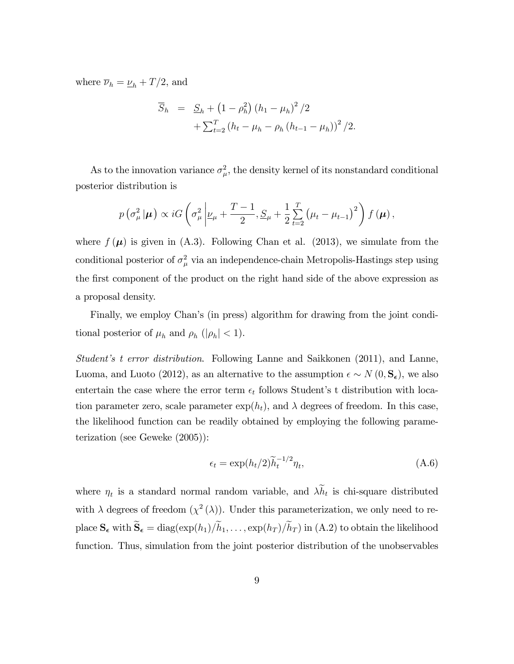where  $\overline{\nu}_h = \underline{\nu}_h + T/2$ , and

$$
\overline{S}_h = \underline{S}_h + (1 - \rho_h^2) (h_1 - \mu_h)^2 / 2 \n+ \sum_{t=2}^T (h_t - \mu_h - \rho_h (h_{t-1} - \mu_h))^2 / 2.
$$

As to the innovation variance  $\sigma_{\mu}^2$ , the density kernel of its nonstandard conditional posterior distribution is

$$
p\left(\sigma_{\mu}^{2}|\boldsymbol{\mu}\right) \propto iG\left(\sigma_{\mu}^{2}\bigg|\underline{\nu}_{\mu} + \frac{T-1}{2}, \underline{S}_{\mu} + \frac{1}{2}\sum_{t=2}^{T}\left(\mu_{t} - \mu_{t-1}\right)^{2}\right)f\left(\boldsymbol{\mu}\right),
$$

where  $f(\mu)$  is given in (A.3). Following Chan et al. (2013), we simulate from the conditional posterior of  $\sigma_{\mu}^{2}$  via an independence-chain Metropolis-Hastings step using the first component of the product on the right hand side of the above expression as a proposal density.

Finally, we employ Chan's (in press) algorithm for drawing from the joint conditional posterior of  $\mu_h$  and  $\rho_h$  ( $|\rho_h|$  < 1).

Student's t error distribution. Following Lanne and Saikkonen (2011), and Lanne, Luoma, and Luoto (2012), as an alternative to the assumption  $\epsilon \sim N(0, \mathbf{S}_{\epsilon})$ , we also entertain the case where the error term  $\epsilon_t$  follows Student's t distribution with location parameter zero, scale parameter  $\exp(h_t)$ , and  $\lambda$  degrees of freedom. In this case, the likelihood function can be readily obtained by employing the following parameterization (see Geweke (2005)):

$$
\epsilon_t = \exp(h_t/2)\widetilde{h}_t^{-1/2}\eta_t,\tag{A.6}
$$

where  $\eta_t$  is a standard normal random variable, and  $\lambda h_t$  is chi-square distributed with  $\lambda$  degrees of freedom  $(\chi^2(\lambda))$ . Under this parameterization, we only need to replace  $S_{\epsilon}$  with  $\widetilde{S}_{\epsilon} = \text{diag}(\exp(h_1)/\widetilde{h}_1, \dots, \exp(h_T)/\widetilde{h}_T)$  in (A.2) to obtain the likelihood function. Thus, simulation from the joint posterior distribution of the unobservables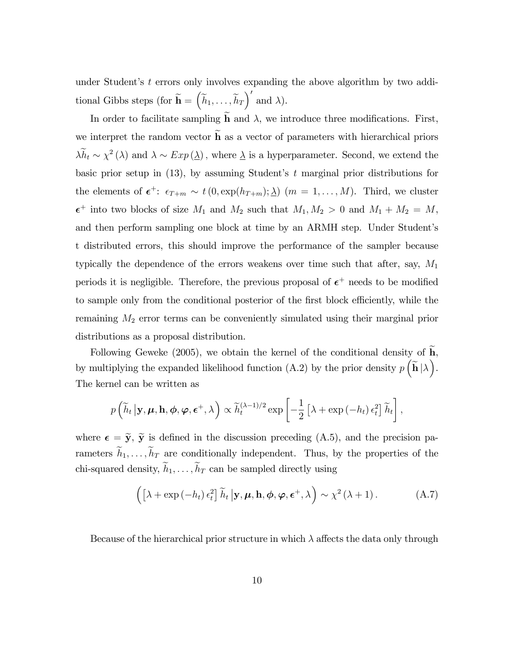under Student's  $t$  errors only involves expanding the above algorithm by two additional Gibbs steps (for  $\widetilde{\mathbf{h}} = (\widetilde{h}_1, \ldots, \widetilde{h}_T)'$  and  $\lambda$ ).

In order to facilitate sampling  $\hat{\mathbf{h}}$  and  $\lambda$ , we introduce three modifications. First, we interpret the random vector  $\widetilde{\mathbf{h}}$  as a vector of parameters with hierarchical priors  $\lambda h_t \sim \chi^2(\lambda)$  and  $\lambda \sim Exp(\underline{\lambda})$ , where  $\underline{\lambda}$  is a hyperparameter. Second, we extend the basic prior setup in  $(13)$ , by assuming Student's t marginal prior distributions for the elements of  $\epsilon^+$ :  $\epsilon_{T+m} \sim t(0, \exp(h_{T+m}); \underline{\lambda})$   $(m = 1, ..., M)$ . Third, we cluster  $\epsilon^+$  into two blocks of size  $M_1$  and  $M_2$  such that  $M_1, M_2 > 0$  and  $M_1 + M_2 = M$ , and then perform sampling one block at time by an ARMH step. Under Student's t distributed errors, this should improve the performance of the sampler because typically the dependence of the errors weakens over time such that after, say,  $M_1$ periods it is negligible. Therefore, the previous proposal of  $\epsilon^+$  needs to be modified to sample only from the conditional posterior of the first block efficiently, while the remaining  $M_2$  error terms can be conveniently simulated using their marginal prior distributions as a proposal distribution.

Following Geweke (2005), we obtain the kernel of the conditional density of  $\mathbf{h}$ , by multiplying the expanded likelihood function (A.2) by the prior density  $p\left(\widetilde{\mathbf{h}} | \lambda\right)$ . The kernel can be written as

$$
p\left(\widetilde{h}_t\left|\mathbf{y},\boldsymbol{\mu},\mathbf{h},\boldsymbol{\phi},\boldsymbol{\varphi},\boldsymbol{\epsilon}^+,\lambda\right.\right)\propto\widetilde{h}_t^{(\lambda-1)/2}\exp\left[-\frac{1}{2}\left[\lambda+\exp\left(-h_t\right)\epsilon_t^2\right]\widetilde{h}_t\right],
$$

where  $\epsilon = \tilde{y}$ ,  $\tilde{y}$  is defined in the discussion preceding (A.5), and the precision parameters  $\tilde{h}_1, \ldots, \tilde{h}_T$  are conditionally independent. Thus, by the properties of the chi-squared density,  $\widetilde{h}_1, \ldots, \widetilde{h}_T$  can be sampled directly using

$$
\left( \left[ \lambda + \exp\left( -h_t \right) \epsilon_t^2 \right] \widetilde{h}_t \left| \mathbf{y}, \boldsymbol{\mu}, \mathbf{h}, \boldsymbol{\phi}, \boldsymbol{\varphi}, \boldsymbol{\epsilon}^+, \lambda \right. \right) \sim \chi^2 \left( \lambda + 1 \right). \tag{A.7}
$$

Because of the hierarchical prior structure in which  $\lambda$  affects the data only through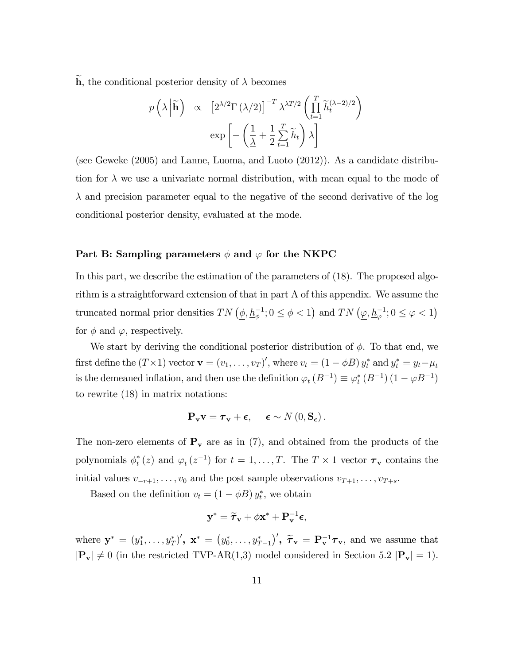**h**, the conditional posterior density of  $\lambda$  becomes

$$
p\left(\lambda \middle| \widetilde{\mathbf{h}}\right) \propto \left[2^{\lambda/2} \Gamma\left(\lambda/2\right)\right]^{-T} \lambda^{\lambda T/2} \left(\prod_{t=1}^{T} \widetilde{h}_{t}^{(\lambda-2)/2}\right)
$$

$$
\exp\left[-\left(\frac{1}{\lambda} + \frac{1}{2} \sum_{t=1}^{T} \widetilde{h}_{t}\right) \lambda\right]
$$

(see Geweke (2005) and Lanne, Luoma, and Luoto (2012)). As a candidate distribution for  $\lambda$  we use a univariate normal distribution, with mean equal to the mode of  $\lambda$  and precision parameter equal to the negative of the second derivative of the log conditional posterior density, evaluated at the mode.

#### Part B: Sampling parameters  $\phi$  and  $\varphi$  for the NKPC

In this part, we describe the estimation of the parameters of (18). The proposed algorithm is a straightforward extension of that in part A of this appendix. We assume the truncated normal prior densities  $TN$   $(\underline{\phi}, \underline{h}_{\phi}^{-1}; 0 \leq \phi < 1)$  and  $TN$   $(\underline{\varphi}, \underline{h}_{\varphi}^{-1}; 0 \leq \varphi < 1)$ for  $\phi$  and  $\varphi$ , respectively.

We start by deriving the conditional posterior distribution of  $\phi$ . To that end, we first define the  $(T \times 1)$  vector  $\mathbf{v} = (v_1, \dots, v_T)'$ , where  $v_t = (1 - \phi B) y_t^*$  and  $y_t^* = y_t - \mu_t$ is the demeaned inflation, and then use the definition  $\varphi_t(B^{-1}) \equiv \varphi_t^* (B^{-1}) (1 - \varphi B^{-1})$ to rewrite (18) in matrix notations:

$$
\mathbf{P}_{\mathbf{v}}\mathbf{v} = \boldsymbol{\tau}_{\mathbf{v}} + \boldsymbol{\epsilon}, \quad \boldsymbol{\epsilon} \sim N(0, \mathbf{S}_{\boldsymbol{\epsilon}}).
$$

The non-zero elements of  $P_v$  are as in (7), and obtained from the products of the polynomials  $\phi_t^*(z)$  and  $\varphi_t(z^{-1})$  for  $t = 1, \ldots, T$ . The  $T \times 1$  vector  $\tau_v$  contains the initial values  $v_{-r+1}, \ldots, v_0$  and the post sample observations  $v_{T+1}, \ldots, v_{T+s}$ .

Based on the definition  $v_t = (1 - \phi B) y_t^*$ , we obtain

$$
\mathbf{y}^* = \widetilde{\boldsymbol{\tau}}_{\mathbf{v}} + \phi \mathbf{x}^* + \mathbf{P}_{\mathbf{v}}^{-1} \boldsymbol{\epsilon},
$$

where  $\mathbf{y}^* = (y_1^*, \ldots, y_T^*)'$ ,  $\mathbf{x}^* = (y_0^*, \ldots, y_{T-1}^*)'$ ,  $\widetilde{\boldsymbol{\tau}}_{\mathbf{v}} = \mathbf{P}_{\mathbf{v}}^{-1} \boldsymbol{\tau}_{\mathbf{v}}$ , and we assume that  $|\mathbf{P}_{\mathbf{v}}| \neq 0$  (in the restricted TVP-AR(1,3) model considered in Section 5.2  $|\mathbf{P}_{\mathbf{v}}| = 1$ ).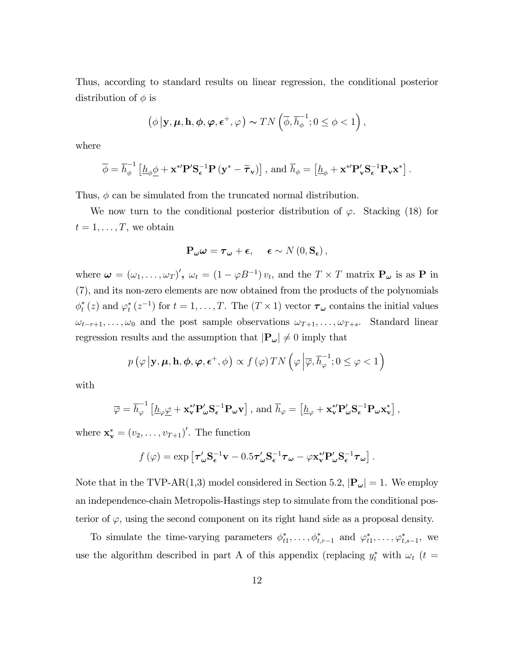Thus, according to standard results on linear regression, the conditional posterior distribution of  $\phi$  is

$$
\left(\phi\left|\mathbf{y},\boldsymbol{\mu},\mathbf{h},\boldsymbol{\phi},\boldsymbol{\varphi},\boldsymbol{\epsilon}^+,\varphi\right.\right)\sim TN\left(\overline{\phi},\overline{h}_{\phi}^{-1};0\leq\phi<1\right),\,
$$

where

$$
\overline{\phi} = \overline{h}_{\phi}^{-1} \left[ \underline{h}_{\phi} \underline{\phi} + \mathbf{x}^{*} \mathbf{P}' \mathbf{S}_{\epsilon}^{-1} \mathbf{P} \left( \mathbf{y}^{*} - \widetilde{\boldsymbol{\tau}}_{\mathbf{v}} \right) \right], \text{ and } \overline{h}_{\phi} = \left[ \underline{h}_{\phi} + \mathbf{x}^{*} \mathbf{P}'_{\mathbf{v}} \mathbf{S}_{\epsilon}^{-1} \mathbf{P}_{\mathbf{v}} \mathbf{x}^{*} \right].
$$

Thus,  $\phi$  can be simulated from the truncated normal distribution.

We now turn to the conditional posterior distribution of  $\varphi$ . Stacking (18) for  $t = 1, \ldots, T$ , we obtain

$$
\mathbf{P}_{\omega}\boldsymbol{\omega}=\boldsymbol{\tau}_{\boldsymbol{\omega}}+\boldsymbol{\epsilon},\quad \boldsymbol{\epsilon}\sim N\left(0,\mathbf{S}_{\boldsymbol{\epsilon}}\right),
$$

where  $\boldsymbol{\omega} = (\omega_1, \dots, \omega_T)'$ ,  $\omega_t = (1 - \varphi B^{-1}) v_t$ , and the  $T \times T$  matrix  $\mathbf{P}_{\boldsymbol{\omega}}$  is as  $\mathbf{P}$  in (7), and its non-zero elements are now obtained from the products of the polynomials  $\phi_t^*(z)$  and  $\varphi_t^*(z^{-1})$  for  $t = 1, \ldots, T$ . The  $(T \times 1)$  vector  $\tau_\omega$  contains the initial values  $\omega_{t-r+1}, \ldots, \omega_0$  and the post sample observations  $\omega_{T+1}, \ldots, \omega_{T+s}$ . Standard linear regression results and the assumption that  $|\mathbf{P}_{\omega}| \neq 0$  imply that

$$
p\left(\varphi\middle|\mathbf{y},\boldsymbol{\mu},\mathbf{h},\boldsymbol{\phi},\boldsymbol{\varphi},\boldsymbol{\epsilon}^+,\boldsymbol{\phi}\right)\propto f\left(\varphi\right)TN\left(\varphi\middle|\overline{\varphi},\overline{h}_{\varphi}^{-1};0\leq\varphi<1\right)
$$

with

$$
\overline{\varphi} = \overline{h}_{\varphi}^{-1} \left[ \underline{h}_{\varphi} \underline{\varphi} + \mathbf{x}_{\mathbf{v}}^* \mathbf{P}_{\omega}^{\prime} \mathbf{S}_{\epsilon}^{-1} \mathbf{P}_{\omega} \mathbf{v} \right], \text{ and } \overline{h}_{\varphi} = \left[ \underline{h}_{\varphi} + \mathbf{x}_{\mathbf{v}}^* \mathbf{P}_{\omega}^{\prime} \mathbf{S}_{\epsilon}^{-1} \mathbf{P}_{\omega} \mathbf{x}_{\mathbf{v}}^* \right],
$$

where  $\mathbf{x}_{\mathbf{v}}^* = (v_2, \dots, v_{T+1})'$ . The function

$$
f(\varphi) = \exp \left[ \tau'_{\omega} \mathbf{S}_{\epsilon}^{-1} \mathbf{v} - 0.5 \tau'_{\omega} \mathbf{S}_{\epsilon}^{-1} \tau_{\omega} - \varphi \mathbf{x}_{\mathbf{v}}^* \mathbf{P}'_{\omega} \mathbf{S}_{\epsilon}^{-1} \tau_{\omega} \right].
$$

Note that in the TVP-AR(1,3) model considered in Section 5.2,  $|\mathbf{P}_{\boldsymbol{\omega}}| = 1$ . We employ an independence-chain Metropolis-Hastings step to simulate from the conditional posterior of  $\varphi$ , using the second component on its right hand side as a proposal density.

To simulate the time-varying parameters  $\phi_{t1}^*, \ldots, \phi_{t,r-1}^*$  and  $\varphi_{t1}^*, \ldots, \varphi_{t,s-1}^*$ , we use the algorithm described in part A of this appendix (replacing  $y_t^*$  with  $\omega_t$  (t =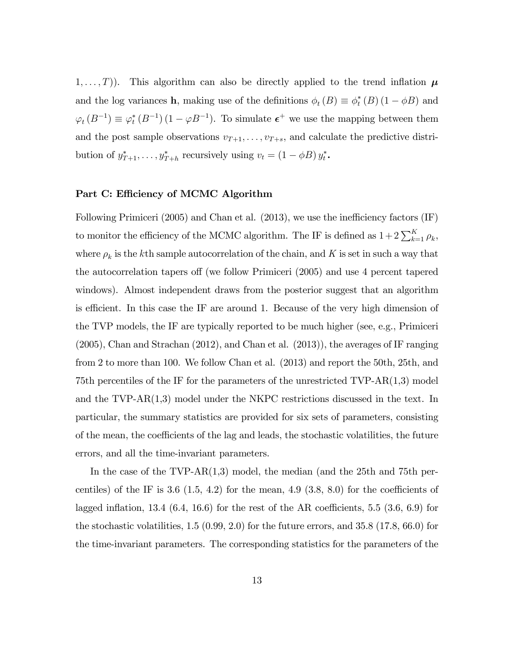$(1, \ldots, T)$ . This algorithm can also be directly applied to the trend inflation  $\mu$ and the log variances **h**, making use of the definitions  $\phi_t(B) \equiv \phi_t^*(B) (1 - \phi B)$  and  $\varphi_t(B^{-1}) \equiv \varphi_t^* (B^{-1}) (1 - \varphi B^{-1})$ . To simulate  $\epsilon^+$  we use the mapping between them and the post sample observations  $v_{T+1}, \ldots, v_{T+s}$ , and calculate the predictive distribution of  $y_{T+1}^*$ , ...,  $y_{T+h}^*$  recursively using  $v_t = (1 - \phi B) y_t^*$ .

### Part C: Efficiency of MCMC Algorithm

Following Primiceri (2005) and Chan et al. (2013), we use the inefficiency factors (IF) to monitor the efficiency of the MCMC algorithm. The IF is defined as  $1+2\sum_{k=1}^{K} \rho_k$ , where  $\rho_k$  is the k<sup>th</sup> sample autocorrelation of the chain, and K is set in such a way that the autocorrelation tapers of (we follow Primiceri (2005) and use 4 percent tapered windows). Almost independent draws from the posterior suggest that an algorithm is efficient. In this case the IF are around 1. Because of the very high dimension of the TVP models, the IF are typically reported to be much higher (see, e.g., Primiceri (2005), Chan and Strachan (2012), and Chan et al. (2013)), the averages of IF ranging from 2 to more than 100. We follow Chan et al. (2013) and report the 50th, 25th, and 75th percentiles of the IF for the parameters of the unrestricted TVP-AR(1,3) model and the TVP-AR(1,3) model under the NKPC restrictions discussed in the text. In particular, the summary statistics are provided for six sets of parameters, consisting of the mean, the coefficients of the lag and leads, the stochastic volatilities, the future errors, and all the time-invariant parameters.

In the case of the TVP-AR(1,3) model, the median (and the 25th and 75th percentiles) of the IF is 3.6  $(1.5, 4.2)$  for the mean, 4.9  $(3.8, 8.0)$  for the coefficients of lagged inflation,  $13.4\ (6.4, 16.6)$  for the rest of the AR coefficients,  $5.5\ (3.6, 6.9)$  for the stochastic volatilities,  $1.5(0.99, 2.0)$  for the future errors, and  $35.8(17.8, 66.0)$  for the time-invariant parameters. The corresponding statistics for the parameters of the